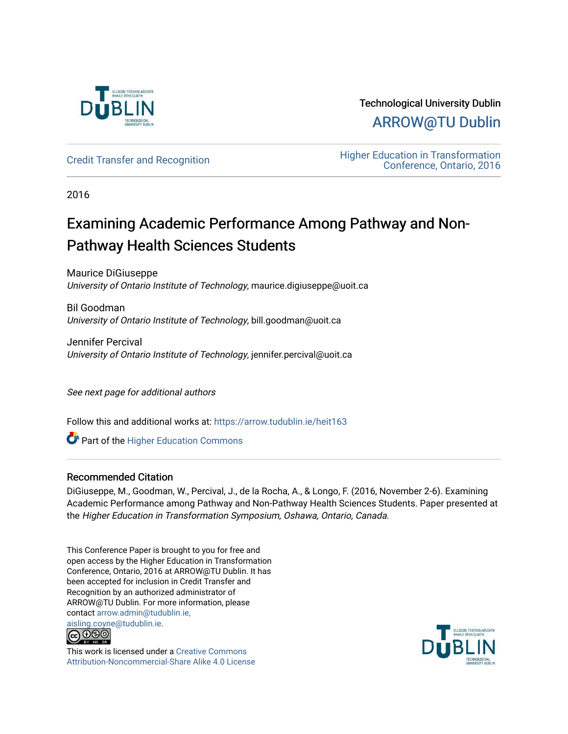

Technological University Dublin [ARROW@TU Dublin](https://arrow.tudublin.ie/) 

[Credit Transfer and Recognition](https://arrow.tudublin.ie/heit163) **Education** Higher Education in Transformation [Conference, Ontario, 2016](https://arrow.tudublin.ie/tuheit16) 

2016

# Examining Academic Performance Among Pathway and Non-Pathway Health Sciences Students

Maurice DiGiuseppe University of Ontario Institute of Technology, maurice.digiuseppe@uoit.ca

Bil Goodman University of Ontario Institute of Technology, bill.goodman@uoit.ca

Jennifer Percival University of Ontario Institute of Technology, jennifer.percival@uoit.ca

See next page for additional authors

Follow this and additional works at: [https://arrow.tudublin.ie/heit163](https://arrow.tudublin.ie/heit163?utm_source=arrow.tudublin.ie%2Fheit163%2F2&utm_medium=PDF&utm_campaign=PDFCoverPages)

**Part of the Higher Education Commons** 

# Recommended Citation

DiGiuseppe, M., Goodman, W., Percival, J., de la Rocha, A., & Longo, F. (2016, November 2-6). Examining Academic Performance among Pathway and Non-Pathway Health Sciences Students. Paper presented at the Higher Education in Transformation Symposium, Oshawa, Ontario, Canada.

This Conference Paper is brought to you for free and open access by the Higher Education in Transformation Conference, Ontario, 2016 at ARROW@TU Dublin. It has been accepted for inclusion in Credit Transfer and Recognition by an authorized administrator of ARROW@TU Dublin. For more information, please contact [arrow.admin@tudublin.ie,](mailto:arrow.admin@tudublin.ie,%20aisling.coyne@tudublin.ie) 



This work is licensed under a [Creative Commons](http://creativecommons.org/licenses/by-nc-sa/4.0/) [Attribution-Noncommercial-Share Alike 4.0 License](http://creativecommons.org/licenses/by-nc-sa/4.0/)

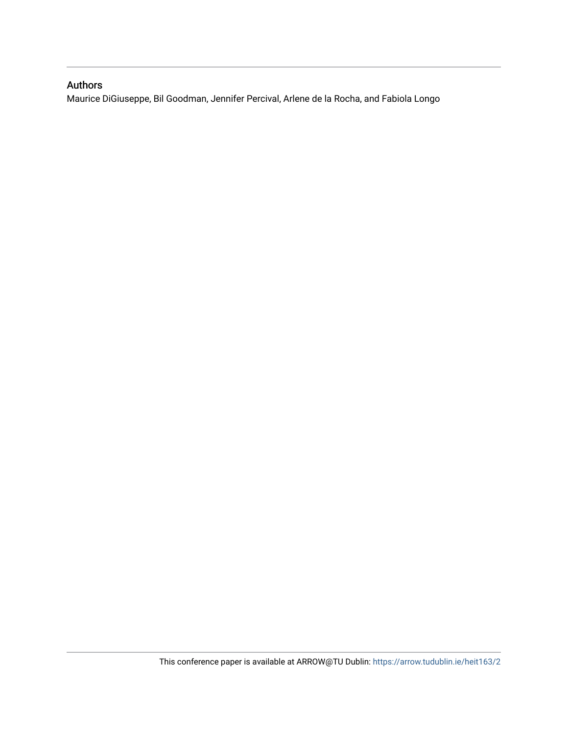# Authors

Maurice DiGiuseppe, Bil Goodman, Jennifer Percival, Arlene de la Rocha, and Fabiola Longo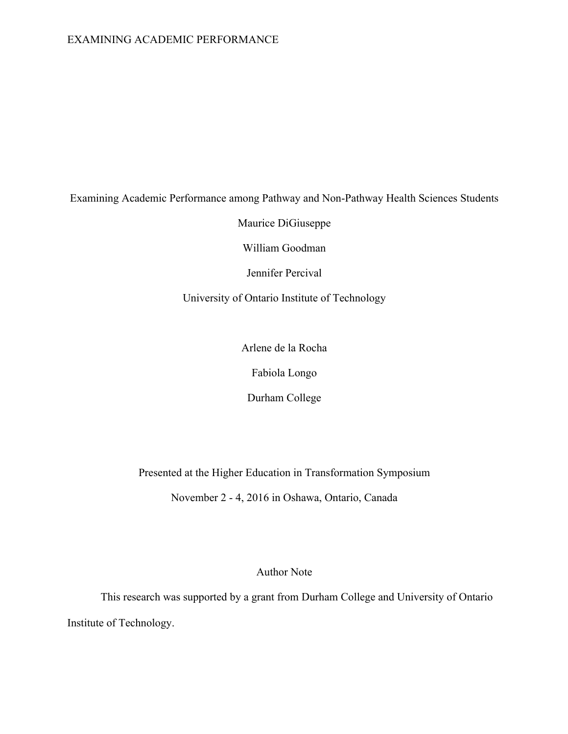# EXAMINING ACADEMIC PERFORMANCE

# Examining Academic Performance among Pathway and Non-Pathway Health Sciences Students

Maurice DiGiuseppe

William Goodman

Jennifer Percival

University of Ontario Institute of Technology

Arlene de la Rocha

Fabiola Longo

Durham College

Presented at the Higher Education in Transformation Symposium

November 2 - 4, 2016 in Oshawa, Ontario, Canada

Author Note

This research was supported by a grant from Durham College and University of Ontario Institute of Technology.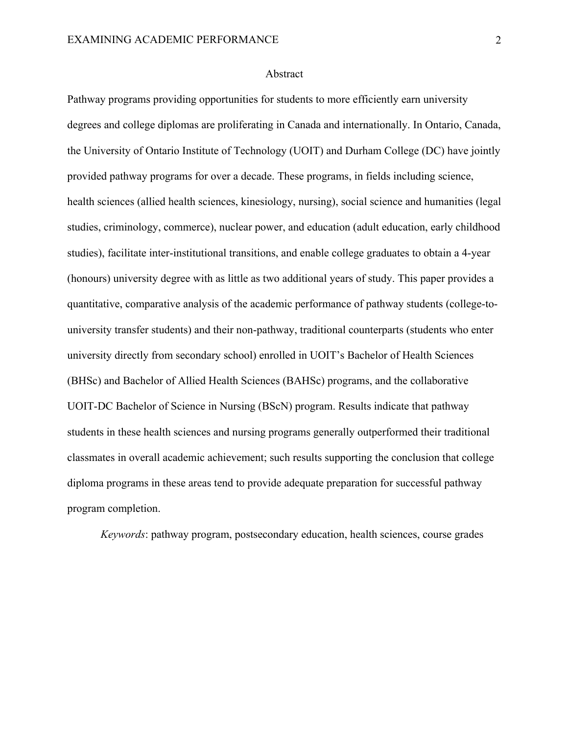#### Abstract

Pathway programs providing opportunities for students to more efficiently earn university degrees and college diplomas are proliferating in Canada and internationally. In Ontario, Canada, the University of Ontario Institute of Technology (UOIT) and Durham College (DC) have jointly provided pathway programs for over a decade. These programs, in fields including science, health sciences (allied health sciences, kinesiology, nursing), social science and humanities (legal studies, criminology, commerce), nuclear power, and education (adult education, early childhood studies), facilitate inter-institutional transitions, and enable college graduates to obtain a 4-year (honours) university degree with as little as two additional years of study. This paper provides a quantitative, comparative analysis of the academic performance of pathway students (college-touniversity transfer students) and their non-pathway, traditional counterparts (students who enter university directly from secondary school) enrolled in UOIT's Bachelor of Health Sciences (BHSc) and Bachelor of Allied Health Sciences (BAHSc) programs, and the collaborative UOIT-DC Bachelor of Science in Nursing (BScN) program. Results indicate that pathway students in these health sciences and nursing programs generally outperformed their traditional classmates in overall academic achievement; such results supporting the conclusion that college diploma programs in these areas tend to provide adequate preparation for successful pathway program completion.

*Keywords*: pathway program, postsecondary education, health sciences, course grades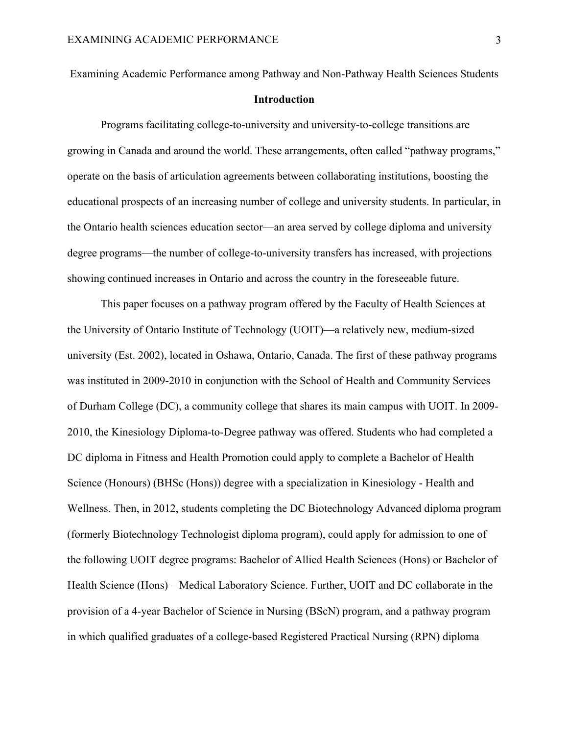Examining Academic Performance among Pathway and Non-Pathway Health Sciences Students

# **Introduction**

Programs facilitating college-to-university and university-to-college transitions are growing in Canada and around the world. These arrangements, often called "pathway programs," operate on the basis of articulation agreements between collaborating institutions, boosting the educational prospects of an increasing number of college and university students. In particular, in the Ontario health sciences education sector—an area served by college diploma and university degree programs—the number of college-to-university transfers has increased, with projections showing continued increases in Ontario and across the country in the foreseeable future.

This paper focuses on a pathway program offered by the Faculty of Health Sciences at the University of Ontario Institute of Technology (UOIT)—a relatively new, medium-sized university (Est. 2002), located in Oshawa, Ontario, Canada. The first of these pathway programs was instituted in 2009-2010 in conjunction with the School of Health and Community Services of Durham College (DC), a community college that shares its main campus with UOIT. In 2009- 2010, the Kinesiology Diploma-to-Degree pathway was offered. Students who had completed a DC diploma in Fitness and Health Promotion could apply to complete a Bachelor of Health Science (Honours) (BHSc (Hons)) degree with a specialization in Kinesiology - Health and Wellness. Then, in 2012, students completing the DC Biotechnology Advanced diploma program (formerly Biotechnology Technologist diploma program), could apply for admission to one of the following UOIT degree programs: Bachelor of Allied Health Sciences (Hons) or Bachelor of Health Science (Hons) – Medical Laboratory Science. Further, UOIT and DC collaborate in the provision of a 4-year Bachelor of Science in Nursing (BScN) program, and a pathway program in which qualified graduates of a college-based Registered Practical Nursing (RPN) diploma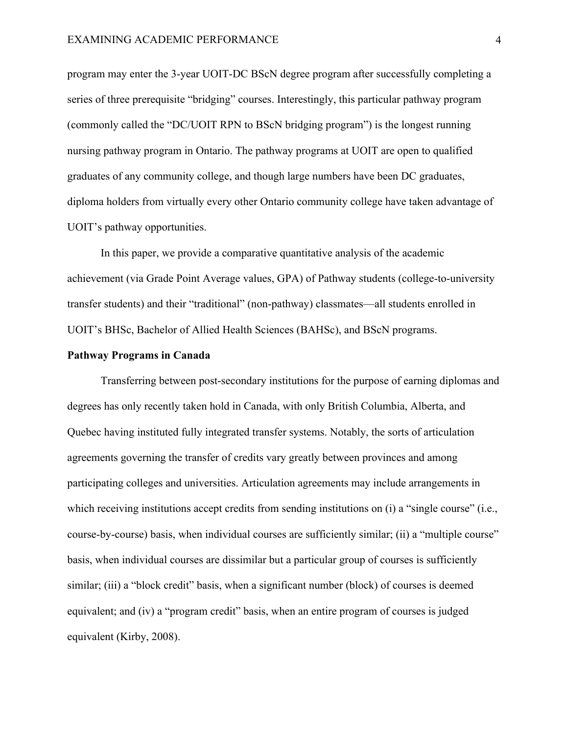program may enter the 3-year UOIT-DC BScN degree program after successfully completing a series of three prerequisite "bridging" courses. Interestingly, this particular pathway program (commonly called the "DC/UOIT RPN to BScN bridging program") is the longest running nursing pathway program in Ontario. The pathway programs at UOIT are open to qualified graduates of any community college, and though large numbers have been DC graduates, diploma holders from virtually every other Ontario community college have taken advantage of UOIT's pathway opportunities.

In this paper, we provide a comparative quantitative analysis of the academic achievement (via Grade Point Average values, GPA) of Pathway students (college-to-university transfer students) and their "traditional" (non-pathway) classmates—all students enrolled in UOIT's BHSc, Bachelor of Allied Health Sciences (BAHSc), and BScN programs.

## **Pathway Programs in Canada**

Transferring between post-secondary institutions for the purpose of earning diplomas and degrees has only recently taken hold in Canada, with only British Columbia, Alberta, and Quebec having instituted fully integrated transfer systems. Notably, the sorts of articulation agreements governing the transfer of credits vary greatly between provinces and among participating colleges and universities. Articulation agreements may include arrangements in which receiving institutions accept credits from sending institutions on (i) a "single course" (i.e., course-by-course) basis, when individual courses are sufficiently similar; (ii) a "multiple course" basis, when individual courses are dissimilar but a particular group of courses is sufficiently similar; (iii) a "block credit" basis, when a significant number (block) of courses is deemed equivalent; and (iv) a "program credit" basis, when an entire program of courses is judged equivalent (Kirby, 2008).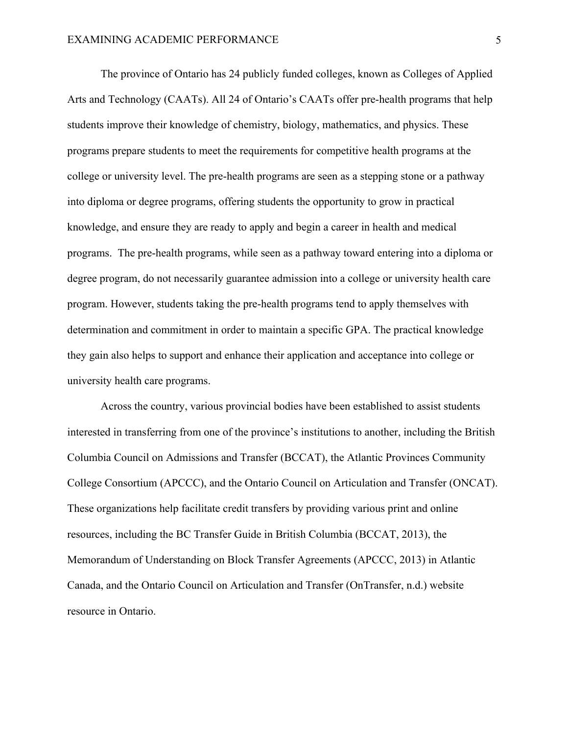The province of Ontario has 24 publicly funded colleges, known as Colleges of Applied Arts and Technology (CAATs). All 24 of Ontario's CAATs offer pre-health programs that help students improve their knowledge of chemistry, biology, mathematics, and physics. These programs prepare students to meet the requirements for competitive health programs at the college or university level. The pre-health programs are seen as a stepping stone or a pathway into diploma or degree programs, offering students the opportunity to grow in practical knowledge, and ensure they are ready to apply and begin a career in health and medical programs. The pre-health programs, while seen as a pathway toward entering into a diploma or degree program, do not necessarily guarantee admission into a college or university health care program. However, students taking the pre-health programs tend to apply themselves with determination and commitment in order to maintain a specific GPA. The practical knowledge they gain also helps to support and enhance their application and acceptance into college or university health care programs.

Across the country, various provincial bodies have been established to assist students interested in transferring from one of the province's institutions to another, including the British Columbia Council on Admissions and Transfer (BCCAT), the Atlantic Provinces Community College Consortium (APCCC), and the Ontario Council on Articulation and Transfer (ONCAT). These organizations help facilitate credit transfers by providing various print and online resources, including the BC Transfer Guide in British Columbia (BCCAT, 2013), the Memorandum of Understanding on Block Transfer Agreements (APCCC, 2013) in Atlantic Canada, and the Ontario Council on Articulation and Transfer (OnTransfer, n.d.) website resource in Ontario.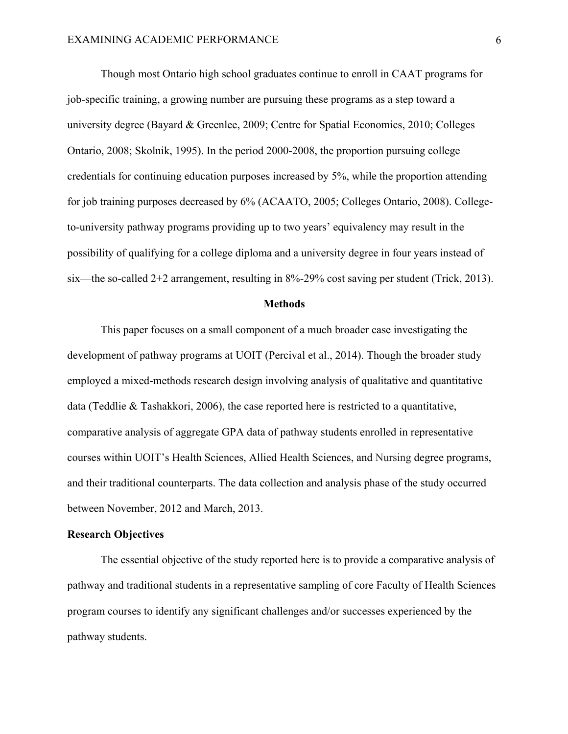Though most Ontario high school graduates continue to enroll in CAAT programs for job-specific training, a growing number are pursuing these programs as a step toward a university degree (Bayard & Greenlee, 2009; Centre for Spatial Economics, 2010; Colleges Ontario, 2008; Skolnik, 1995). In the period 2000-2008, the proportion pursuing college credentials for continuing education purposes increased by 5%, while the proportion attending for job training purposes decreased by 6% (ACAATO, 2005; Colleges Ontario, 2008). Collegeto-university pathway programs providing up to two years' equivalency may result in the possibility of qualifying for a college diploma and a university degree in four years instead of six—the so-called 2+2 arrangement, resulting in 8%-29% cost saving per student (Trick, 2013).

#### **Methods**

This paper focuses on a small component of a much broader case investigating the development of pathway programs at UOIT (Percival et al., 2014). Though the broader study employed a mixed-methods research design involving analysis of qualitative and quantitative data (Teddlie & Tashakkori, 2006), the case reported here is restricted to a quantitative, comparative analysis of aggregate GPA data of pathway students enrolled in representative courses within UOIT's Health Sciences, Allied Health Sciences, and Nursing degree programs, and their traditional counterparts. The data collection and analysis phase of the study occurred between November, 2012 and March, 2013.

# **Research Objectives**

The essential objective of the study reported here is to provide a comparative analysis of pathway and traditional students in a representative sampling of core Faculty of Health Sciences program courses to identify any significant challenges and/or successes experienced by the pathway students.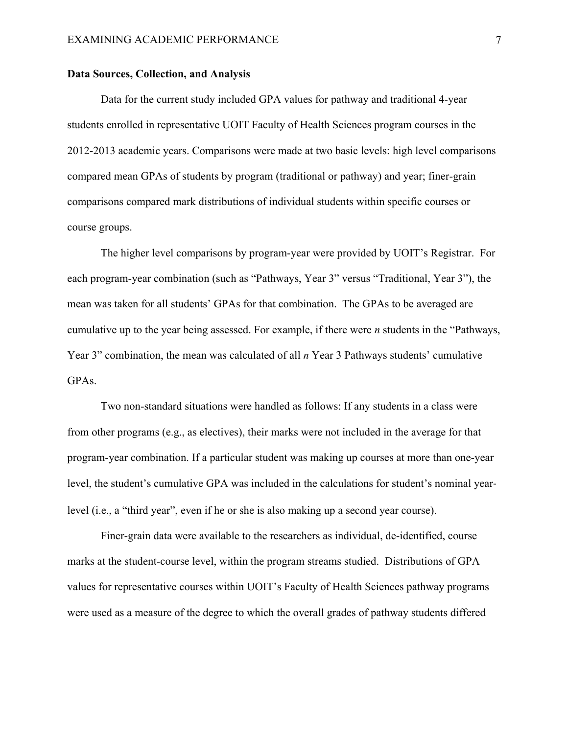## **Data Sources, Collection, and Analysis**

Data for the current study included GPA values for pathway and traditional 4-year students enrolled in representative UOIT Faculty of Health Sciences program courses in the 2012-2013 academic years. Comparisons were made at two basic levels: high level comparisons compared mean GPAs of students by program (traditional or pathway) and year; finer-grain comparisons compared mark distributions of individual students within specific courses or course groups.

The higher level comparisons by program-year were provided by UOIT's Registrar. For each program-year combination (such as "Pathways, Year 3" versus "Traditional, Year 3"), the mean was taken for all students' GPAs for that combination. The GPAs to be averaged are cumulative up to the year being assessed. For example, if there were *n* students in the "Pathways, Year 3" combination, the mean was calculated of all *n* Year 3 Pathways students' cumulative GPAs.

Two non-standard situations were handled as follows: If any students in a class were from other programs (e.g., as electives), their marks were not included in the average for that program-year combination. If a particular student was making up courses at more than one-year level, the student's cumulative GPA was included in the calculations for student's nominal yearlevel (i.e., a "third year", even if he or she is also making up a second year course).

Finer-grain data were available to the researchers as individual, de-identified, course marks at the student-course level, within the program streams studied. Distributions of GPA values for representative courses within UOIT's Faculty of Health Sciences pathway programs were used as a measure of the degree to which the overall grades of pathway students differed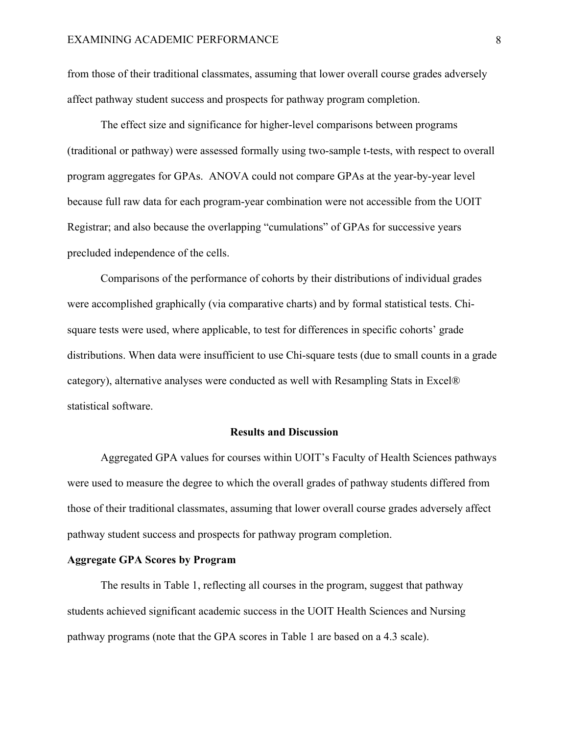from those of their traditional classmates, assuming that lower overall course grades adversely affect pathway student success and prospects for pathway program completion.

The effect size and significance for higher-level comparisons between programs (traditional or pathway) were assessed formally using two-sample t-tests, with respect to overall program aggregates for GPAs. ANOVA could not compare GPAs at the year-by-year level because full raw data for each program-year combination were not accessible from the UOIT Registrar; and also because the overlapping "cumulations" of GPAs for successive years precluded independence of the cells.

Comparisons of the performance of cohorts by their distributions of individual grades were accomplished graphically (via comparative charts) and by formal statistical tests. Chisquare tests were used, where applicable, to test for differences in specific cohorts' grade distributions. When data were insufficient to use Chi-square tests (due to small counts in a grade category), alternative analyses were conducted as well with Resampling Stats in Excel® statistical software.

#### **Results and Discussion**

Aggregated GPA values for courses within UOIT's Faculty of Health Sciences pathways were used to measure the degree to which the overall grades of pathway students differed from those of their traditional classmates, assuming that lower overall course grades adversely affect pathway student success and prospects for pathway program completion.

# **Aggregate GPA Scores by Program**

The results in Table 1, reflecting all courses in the program, suggest that pathway students achieved significant academic success in the UOIT Health Sciences and Nursing pathway programs (note that the GPA scores in Table 1 are based on a 4.3 scale).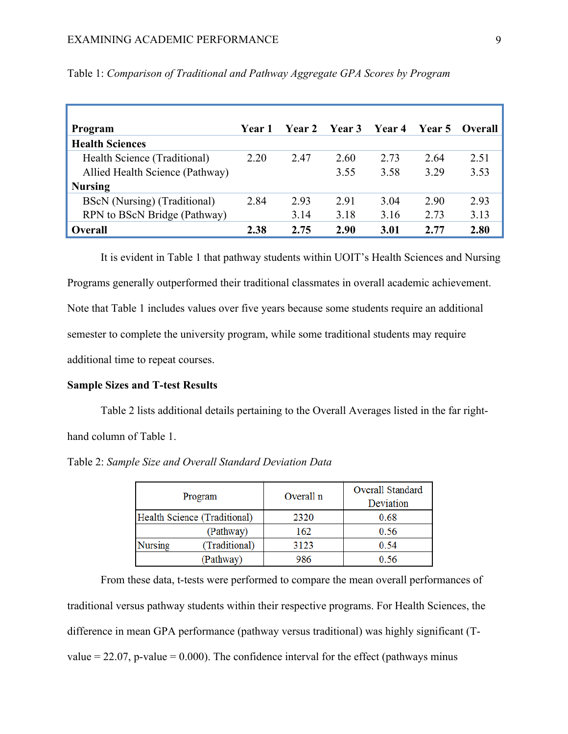| Program                         | Year 1 | <b>Year 2</b> | <b>Year 3</b> | Year 4 |      | Year 5 Overall |
|---------------------------------|--------|---------------|---------------|--------|------|----------------|
| <b>Health Sciences</b>          |        |               |               |        |      |                |
| Health Science (Traditional)    | 2.20   | 2.47          | 2.60          | 2.73   | 2.64 | 2.51           |
| Allied Health Science (Pathway) |        |               | 3.55          | 3.58   | 3.29 | 3.53           |
| <b>Nursing</b>                  |        |               |               |        |      |                |
| BScN (Nursing) (Traditional)    | 2.84   | 2.93          | 2.91          | 3.04   | 2.90 | 2.93           |
| RPN to BScN Bridge (Pathway)    |        | 3.14          | 3.18          | 3.16   | 2.73 | 3.13           |
| <b>Overall</b>                  | 2.38   | 2.75          | 2.90          | 3.01   | 2.77 | 2.80           |

Table 1: *Comparison of Traditional and Pathway Aggregate GPA Scores by Program*

It is evident in Table 1 that pathway students within UOIT's Health Sciences and Nursing Programs generally outperformed their traditional classmates in overall academic achievement. Note that Table 1 includes values over five years because some students require an additional semester to complete the university program, while some traditional students may require additional time to repeat courses.

# **Sample Sizes and T-test Results**

Table 2 lists additional details pertaining to the Overall Averages listed in the far righthand column of Table 1.

Table 2: *Sample Size and Overall Standard Deviation Data*

| Program                      |               | Overall n | Overall Standard<br>Deviation |  |
|------------------------------|---------------|-----------|-------------------------------|--|
| Health Science (Traditional) |               | 2320      | 0.68                          |  |
|                              | (Pathway)     | 162       | 0.56                          |  |
| Nursing                      | (Traditional) | 3123      | 0.54                          |  |
|                              | (Pathway)     | 986       | 0.56                          |  |

From these data, t-tests were performed to compare the mean overall performances of traditional versus pathway students within their respective programs. For Health Sciences, the difference in mean GPA performance (pathway versus traditional) was highly significant (Tvalue  $= 22.07$ , p-value  $= 0.000$ ). The confidence interval for the effect (pathways minus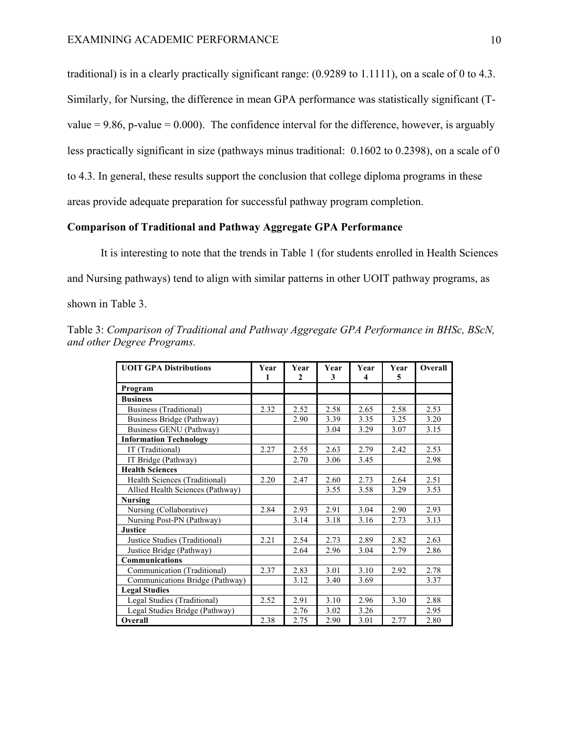traditional) is in a clearly practically significant range: (0.9289 to 1.1111), on a scale of 0 to 4.3. Similarly, for Nursing, the difference in mean GPA performance was statistically significant (Tvalue  $= 9.86$ , p-value  $= 0.000$ ). The confidence interval for the difference, however, is arguably less practically significant in size (pathways minus traditional: 0.1602 to 0.2398), on a scale of 0 to 4.3. In general, these results support the conclusion that college diploma programs in these areas provide adequate preparation for successful pathway program completion.

# **Comparison of Traditional and Pathway Aggregate GPA Performance**

It is interesting to note that the trends in Table 1 (for students enrolled in Health Sciences and Nursing pathways) tend to align with similar patterns in other UOIT pathway programs, as shown in Table 3.

**UOIT GPA Distributions Year 1 Year 2 Year 3 Year 4 Year 5 Overall Program Business** Business (Traditional) 2.32 2.52 2.58 2.65 2.58 2.53<br>Business Bridge (Pathway) 2.90 3.39 3.35 3.25 3.20 Business Bridge (Pathway) 2.90 3.39 3.35 3.25 Business GENU (Pathway) 3.04 3.04 3.29 3.07 3.15 **Information Technology** IT (Traditional) 2.27 2.55 2.63 2.79 2.42 2.53<br>IT Bridge (Pathway) 2.70 3.06 3.45 2.98 IT Bridge (Pathway) 2.70 3.06 3.45 **Health Sciences** Health Sciences (Traditional) 2.20 2.47 2.60 2.73 2.64 2.51<br>Allied Health Sciences (Pathway) 3.55 3.58 3.29 3.53 Allied Health Sciences (Pathway) 3.55 3.58 3.29 3.53 **Nursing** Nursing (Collaborative) 2.84 2.93 2.91 3.04 2.90 2.93<br>Nursing Post-PN (Pathway) 3.14 3.18 3.16 2.73 3.13 Nursing Post-PN (Pathway) 3.14 3.18 3.16 2.73 **Justice** Justice Studies (Traditional) 2.21 2.54 2.73 2.89 2.82 2.63 Justice Bridge (Pathway) 2.64 2.96 3.04 2.79 2.86 **Communications** Communication (Traditional) 2.37 2.83 3.01 3.10 2.92 2.78 Communications Bridge (Pathway) 3.12 3.40 3.69 3.37 **Legal Studies** Legal Studies (Traditional) 2.52 2.91 3.10 2.96 3.30 2.88 Legal Studies Bridge (Pathway) 2.76 3.02 3.26 2.95 **Overall** 2.38 2.75 2.90 3.01 2.77 2.80

Table 3: *Comparison of Traditional and Pathway Aggregate GPA Performance in BHSc, BScN, and other Degree Programs.*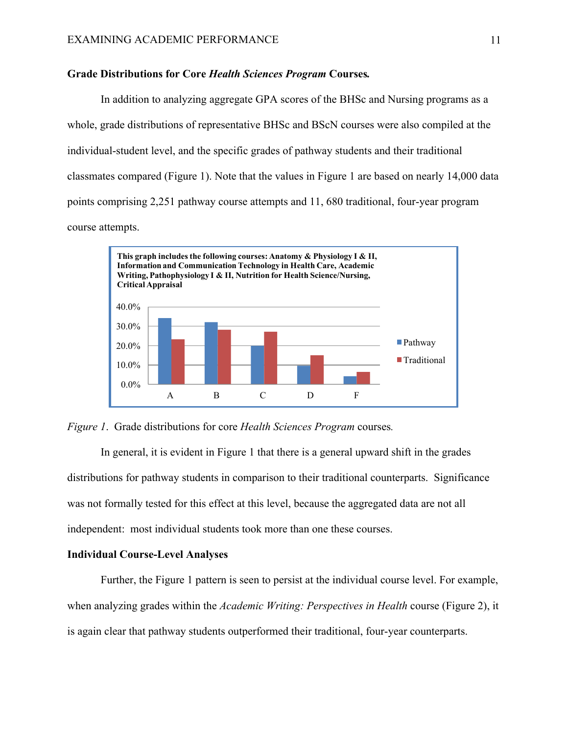## **Grade Distributions for Core** *Health Sciences Program* **Courses***.*

In addition to analyzing aggregate GPA scores of the BHSc and Nursing programs as a whole, grade distributions of representative BHSc and BScN courses were also compiled at the individual-student level, and the specific grades of pathway students and their traditional classmates compared (Figure 1). Note that the values in Figure 1 are based on nearly 14,000 data points comprising 2,251 pathway course attempts and 11, 680 traditional, four-year program course attempts.



*Figure 1*. Grade distributions for core *Health Sciences Program* courses*.*

In general, it is evident in Figure 1 that there is a general upward shift in the grades distributions for pathway students in comparison to their traditional counterparts. Significance was not formally tested for this effect at this level, because the aggregated data are not all independent: most individual students took more than one these courses.

#### **Individual Course-Level Analyses**

Further, the Figure 1 pattern is seen to persist at the individual course level. For example, when analyzing grades within the *Academic Writing: Perspectives in Health* course (Figure 2), it is again clear that pathway students outperformed their traditional, four-year counterparts.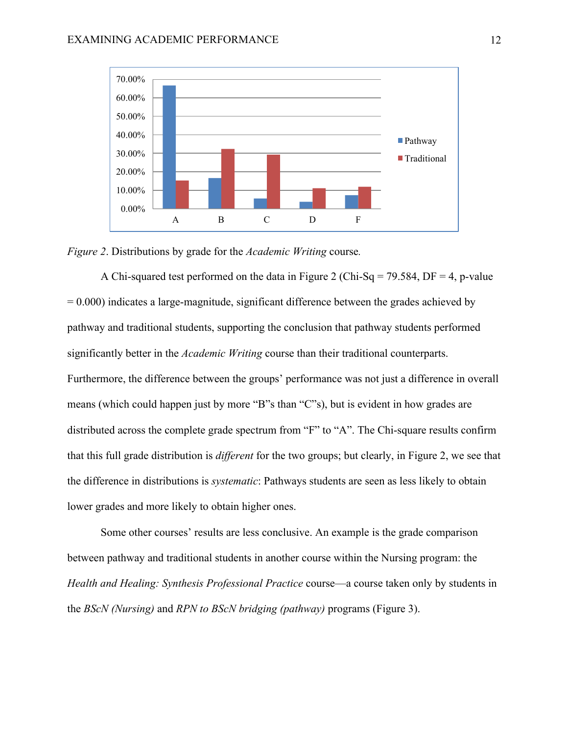

*Figure 2*. Distributions by grade for the *Academic Writing* course*.*

A Chi-squared test performed on the data in Figure 2 (Chi-Sq = 79.584, DF = 4, p-value  $= 0.000$ ) indicates a large-magnitude, significant difference between the grades achieved by pathway and traditional students, supporting the conclusion that pathway students performed significantly better in the *Academic Writing* course than their traditional counterparts. Furthermore, the difference between the groups' performance was not just a difference in overall means (which could happen just by more "B"s than "C"s), but is evident in how grades are distributed across the complete grade spectrum from "F" to "A". The Chi-square results confirm that this full grade distribution is *different* for the two groups; but clearly, in Figure 2, we see that the difference in distributions is *systematic*: Pathways students are seen as less likely to obtain lower grades and more likely to obtain higher ones.

Some other courses' results are less conclusive. An example is the grade comparison between pathway and traditional students in another course within the Nursing program: the *Health and Healing: Synthesis Professional Practice* course—a course taken only by students in the *BScN (Nursing)* and *RPN to BScN bridging (pathway)* programs (Figure 3).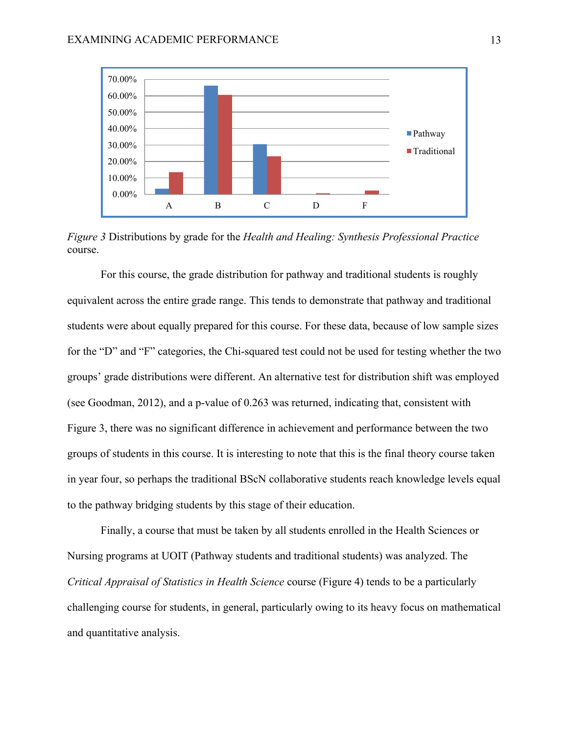

*Figure 3* Distributions by grade for the *Health and Healing: Synthesis Professional Practice* course.

For this course, the grade distribution for pathway and traditional students is roughly equivalent across the entire grade range. This tends to demonstrate that pathway and traditional students were about equally prepared for this course. For these data, because of low sample sizes for the "D" and "F" categories, the Chi-squared test could not be used for testing whether the two groups' grade distributions were different. An alternative test for distribution shift was employed (see Goodman, 2012), and a p-value of 0.263 was returned, indicating that, consistent with Figure 3, there was no significant difference in achievement and performance between the two groups of students in this course. It is interesting to note that this is the final theory course taken in year four, so perhaps the traditional BScN collaborative students reach knowledge levels equal to the pathway bridging students by this stage of their education.

Finally, a course that must be taken by all students enrolled in the Health Sciences or Nursing programs at UOIT (Pathway students and traditional students) was analyzed. The *Critical Appraisal of Statistics in Health Science* course (Figure 4) tends to be a particularly challenging course for students, in general, particularly owing to its heavy focus on mathematical and quantitative analysis.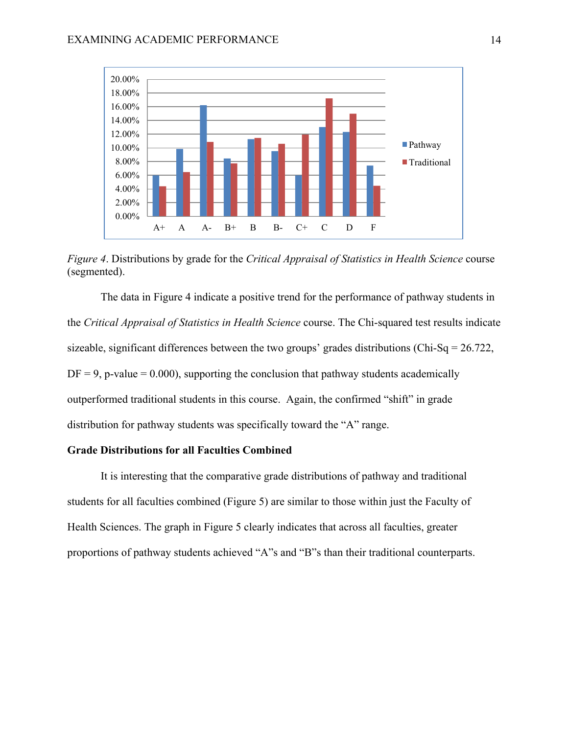

*Figure 4*. Distributions by grade for the *Critical Appraisal of Statistics in Health Science* course (segmented).

The data in Figure 4 indicate a positive trend for the performance of pathway students in the *Critical Appraisal of Statistics in Health Science* course. The Chi-squared test results indicate sizeable, significant differences between the two groups' grades distributions (Chi-Sq =  $26.722$ ,  $DF = 9$ , p-value = 0.000), supporting the conclusion that pathway students academically outperformed traditional students in this course. Again, the confirmed "shift" in grade distribution for pathway students was specifically toward the "A" range.

# **Grade Distributions for all Faculties Combined**

It is interesting that the comparative grade distributions of pathway and traditional students for all faculties combined (Figure 5) are similar to those within just the Faculty of Health Sciences. The graph in Figure 5 clearly indicates that across all faculties, greater proportions of pathway students achieved "A"s and "B"s than their traditional counterparts.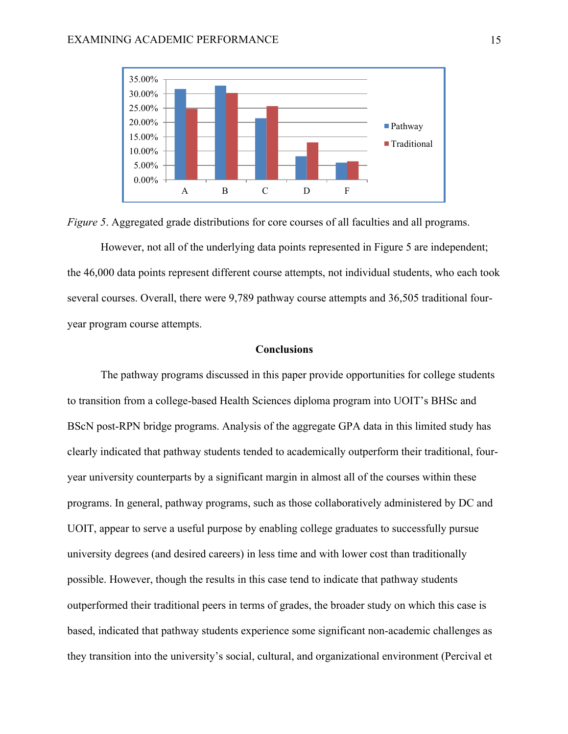



However, not all of the underlying data points represented in Figure 5 are independent; the 46,000 data points represent different course attempts, not individual students, who each took several courses. Overall, there were 9,789 pathway course attempts and 36,505 traditional fouryear program course attempts.

#### **Conclusions**

The pathway programs discussed in this paper provide opportunities for college students to transition from a college-based Health Sciences diploma program into UOIT's BHSc and BScN post-RPN bridge programs. Analysis of the aggregate GPA data in this limited study has clearly indicated that pathway students tended to academically outperform their traditional, fouryear university counterparts by a significant margin in almost all of the courses within these programs. In general, pathway programs, such as those collaboratively administered by DC and UOIT, appear to serve a useful purpose by enabling college graduates to successfully pursue university degrees (and desired careers) in less time and with lower cost than traditionally possible. However, though the results in this case tend to indicate that pathway students outperformed their traditional peers in terms of grades, the broader study on which this case is based, indicated that pathway students experience some significant non-academic challenges as they transition into the university's social, cultural, and organizational environment (Percival et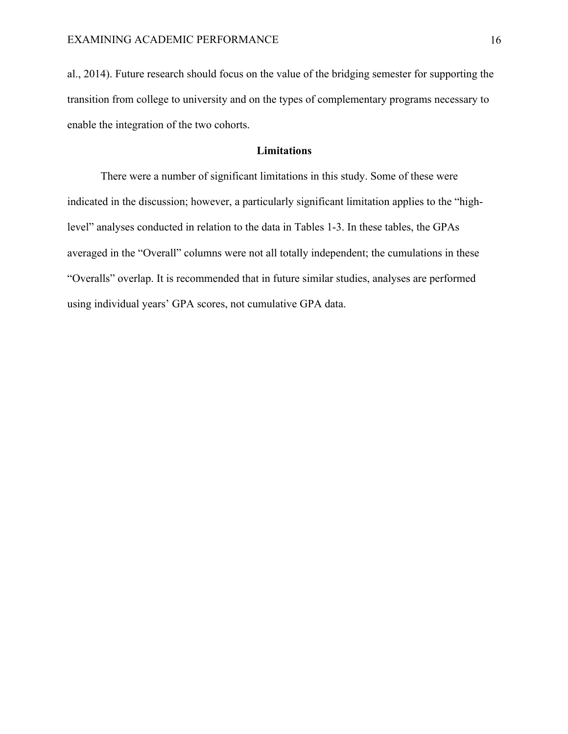al., 2014). Future research should focus on the value of the bridging semester for supporting the transition from college to university and on the types of complementary programs necessary to enable the integration of the two cohorts.

# **Limitations**

There were a number of significant limitations in this study. Some of these were indicated in the discussion; however, a particularly significant limitation applies to the "highlevel" analyses conducted in relation to the data in Tables 1-3. In these tables, the GPAs averaged in the "Overall" columns were not all totally independent; the cumulations in these "Overalls" overlap. It is recommended that in future similar studies, analyses are performed using individual years' GPA scores, not cumulative GPA data.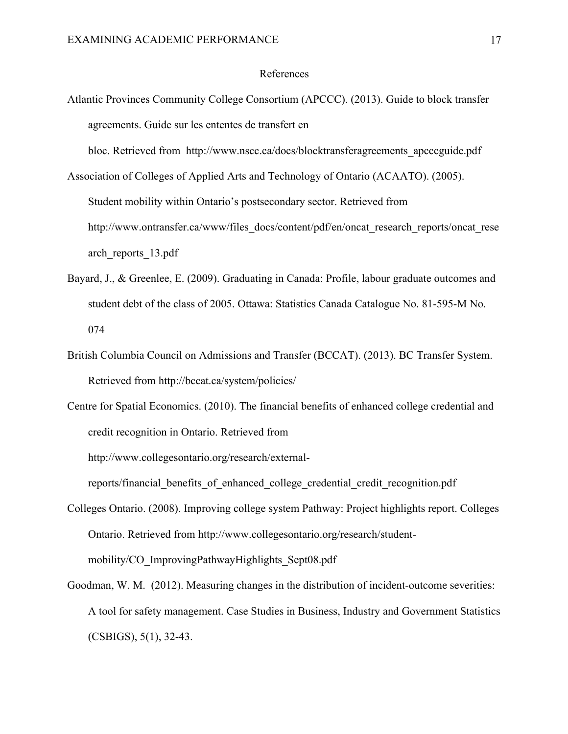#### References

Atlantic Provinces Community College Consortium (APCCC). (2013). Guide to block transfer agreements. Guide sur les ententes de transfert en

bloc. Retrieved from http://www.nscc.ca/docs/blocktransferagreements\_apcccguide.pdf

Association of Colleges of Applied Arts and Technology of Ontario (ACAATO). (2005). Student mobility within Ontario's postsecondary sector. Retrieved from http://www.ontransfer.ca/www/files\_docs/content/pdf/en/oncat\_research\_reports/oncat\_rese arch\_reports\_13.pdf

- Bayard, J., & Greenlee, E. (2009). Graduating in Canada: Profile, labour graduate outcomes and student debt of the class of 2005. Ottawa: Statistics Canada Catalogue No. 81-595-M No. 074
- British Columbia Council on Admissions and Transfer (BCCAT). (2013). BC Transfer System. Retrieved from http://bccat.ca/system/policies/

Centre for Spatial Economics. (2010). The financial benefits of enhanced college credential and credit recognition in Ontario. Retrieved from

http://www.collegesontario.org/research/external-

reports/financial\_benefits\_of\_enhanced\_college\_credential\_credit\_recognition.pdf

- Colleges Ontario. (2008). Improving college system Pathway: Project highlights report. Colleges Ontario. Retrieved from http://www.collegesontario.org/research/studentmobility/CO\_ImprovingPathwayHighlights\_Sept08.pdf
- Goodman, W. M. (2012). Measuring changes in the distribution of incident-outcome severities: A tool for safety management. Case Studies in Business, Industry and Government Statistics (CSBIGS), 5(1), 32-43.